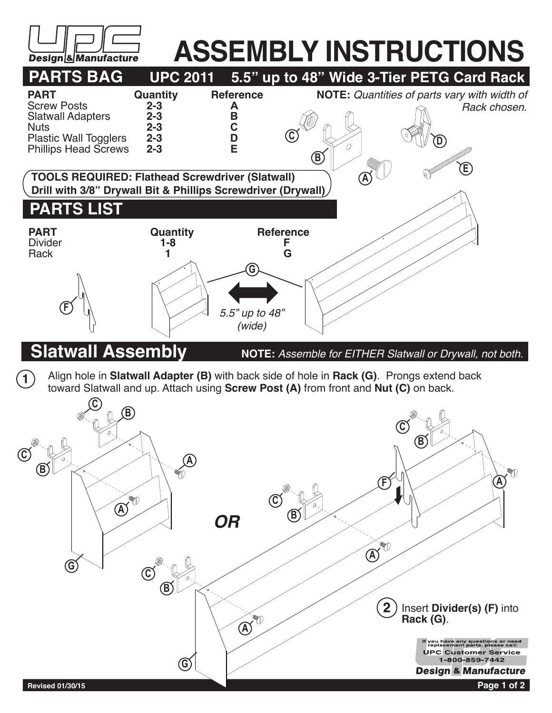

## **ASSEMBLY INSTRUCTIONS**<br>UPC 2011 5.5" up to 48" Wide 3-Tier PETG Card Rack